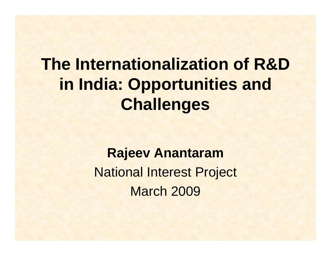### **The Internationalization of R&D in India: Opportunities and Challenges**

**Rajeev Anantaram** National Interest Project March 2009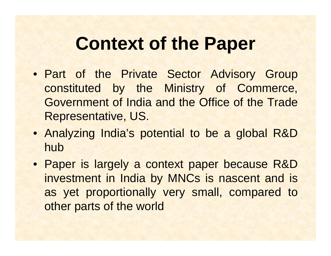### **Context of the Paper**

- Part of the Private Sector Advisory Group constituted by the Ministry of Commerce, Government of India and the Office of the Trade Representative, US.
- Analyzing India's potential to be a global R&D hub
- Paper is largely a context paper because R&D investment in India by MNCs is nascent and is as yet proportionally very small, compared to other parts of the world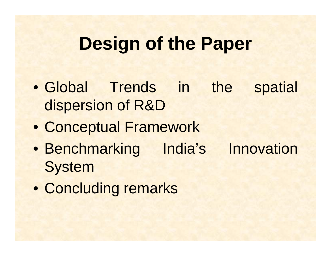#### **Design of the Paper**

- Global Trends in the spatial dispersion of R&D
- Conceptual Framework
- Benchmarking India's Innovation **System**
- Concluding remarks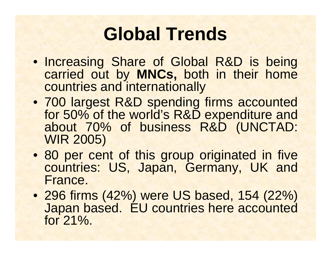# **Global Trends**

- Increasing Share of Global R&D is being carried out by **MNCs,** both in their home countries and internationally
- 700 largest R&D spending firms accounted for 50% of the world's R&D expenditure and about 70% of business R&D (UNCTAD: WIR 2005)
- 80 per cent of this group originated in five countries: US, Japan, Germany, UK and France.
- 296 firms (42%) were US based, 154 (22%) Japan based. EU countries here accounted for 21%.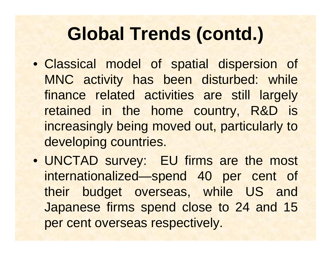### **Global Trends (contd.)**

- Classical model of spatial dispersion of MNC activity has been disturbed: while finance related activities are still largely retained in the home country, R&D is increasingly being moved out, particularly to developing countries.
- UNCTAD survey: EU firms are the most internationalized—spend 40 per cent of their budget overseas, while US and Japanese firms spend close to 24 and 15 per cent overseas respectively.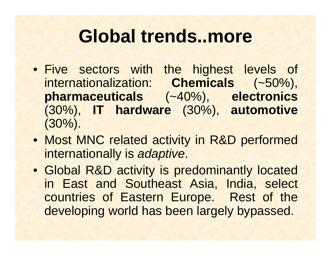#### **Global trends..more**

- Five sectors with the highest levels of internationalization: **Chemicals** (~50%), **pharmaceuticals** (~40%), **electronics** (30%), **IT hardware** (30%), **automotive** (30%).
- Most MNC related activity in R&D performed internationally is *adaptive*.
- Global R&D activity is predominantly located in East and Southeast Asia, India, select countries of Eastern Europe. Rest of the developing world has been largely bypassed.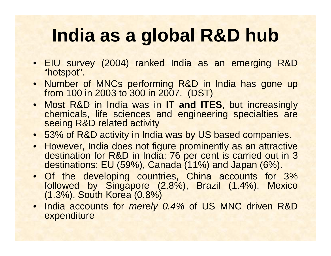# **India as a global R&D hub**

- EIU survey (2004) ranked India as an emerging R&D "hotspot".
- Number of MNCs performing R&D in India has gone up from 100 in 2003 to 300 in 2007. (DST)
- Most R&D in India was in **IT and ITES**, but increasingly chemicals, life sciences and engineering specialties are seeing R&D related activity
- 53% of R&D activity in India was by US based companies.
- However, India does not figure prominently as an attractive destination for R&D in India: 76 per cent is carried out in 3 destinations: EU (59%), Canada (11%) and Japan (6%).
- Of the developing countries, China accounts for 3% followed by Singapore (2.8%), Brazil (1.4%), Mexico (1.3%), South Korea (0.8%)
- India accounts for *merely 0.4%* of US MNC driven R&D expenditure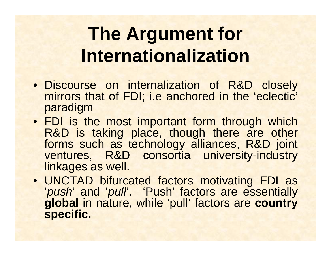# **The Argument for Internationalization**

- Discourse on internalization of R&D closely mirrors that of FDI; i.e anchored in the 'eclectic' paradigm
- FDI is the most important form through which R&D is taking place, though there are other forms such as technology alliances, R&D joint ventures, R&D consortia university-industry linkages as well.
- UNCTAD bifurcated factors motivating FDI as 'push' and 'pull'. 'Push' factors are essentially **global** in nature, while 'pull' factors are **country specific.**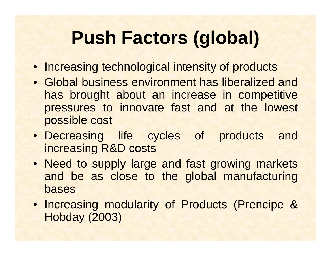# **Push Factors (global)**

- Increasing technological intensity of products
- Global business environment has liberalized and has brought about an increase in competitive pressures to innovate fast and at the lowest possible cost
- Decreasing life cycles of products and increasing R&D costs
- Need to supply large and fast growing markets and be as close to the global manufacturing bases
- Increasing modularity of Products (Prencipe & Hobday (2003)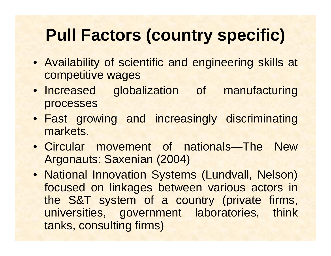### **Pull Factors (country specific)**

- Availability of scientific and engineering skills at competitive wages
- Increased globalization of manufacturing processes
- Fast growing and increasingly discriminating markets.
- Circular movement of nationals—The New Argonauts: Saxenian (2004)
- National Innovation Systems (Lundvall, Nelson) focused on linkages between various actors in the S&T system of a country (private firms, universities, government laboratories, think tanks, consulting firms)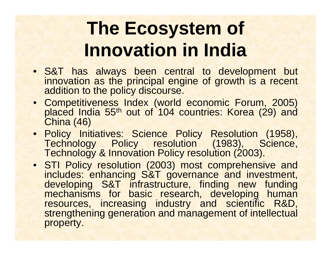# **The Ecosystem of Innovation in India**

- S&T has always been central to development but innovation as the principal engine of growth is a recent addition to the policy discourse.
- Competitiveness Index (world economic Forum, 2005) placed India 55<sup>th</sup> out of 104 countries: Korea (29) and China (46)
- Policy Initiatives: Science Policy Resolution (1958), Technology Policy resolution (1983), Science, Technology & Innovation Policy resolution (2003).
- STI Policy resolution (2003) most comprehensive and includes: enhancing S&T governance and investment, developing S&T infrastructure, finding new funding mechanisms for basic research, developing human resources, increasing industry and scientific R&D, strengthening generation and management of intellectual property.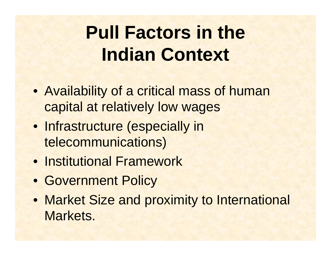# **Pull Factors in the Indian Context**

- Availability of a critical mass of human capital at relatively low wages
- Infrastructure (especially in telecommunications)
- Institutional Framework
- Government Policy
- Market Size and proximity to International Markets.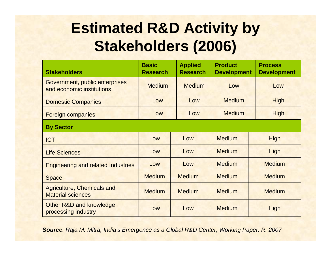#### **Estimated R&D Activity by Stakeholders (2006)**

| <b>Stakeholders</b>                                           | <b>Basic</b><br><b>Research</b> | <b>Applied</b><br><b>Research</b> | <b>Product</b><br><b>Development</b> | <b>Process</b><br><b>Development</b> |  |
|---------------------------------------------------------------|---------------------------------|-----------------------------------|--------------------------------------|--------------------------------------|--|
| Government, public enterprises<br>and economic institutions   | <b>Medium</b>                   | <b>Medium</b>                     | Low                                  | Low                                  |  |
| <b>Domestic Companies</b>                                     | Low                             | Low                               | <b>Medium</b>                        | <b>High</b>                          |  |
| <b>Foreign companies</b>                                      | Low                             | Low                               | <b>Medium</b>                        | <b>High</b>                          |  |
| <b>By Sector</b>                                              |                                 |                                   |                                      |                                      |  |
| <b>ICT</b>                                                    | Low                             | Low                               | <b>Medium</b>                        | <b>High</b>                          |  |
| <b>Life Sciences</b>                                          | Low                             | Low                               | <b>Medium</b>                        | <b>High</b>                          |  |
| <b>Engineering and related Industries</b>                     | Low                             | Low                               | <b>Medium</b>                        | <b>Medium</b>                        |  |
| <b>Space</b>                                                  | <b>Medium</b>                   | <b>Medium</b>                     | <b>Medium</b>                        | <b>Medium</b>                        |  |
| <b>Agriculture, Chemicals and</b><br><b>Material sciences</b> | <b>Medium</b>                   | <b>Medium</b>                     | <b>Medium</b>                        | <b>Medium</b>                        |  |
| Other R&D and knowledge<br>processing industry                | Low                             | Low                               | <b>Medium</b>                        | <b>High</b>                          |  |

*Source: Raja M. Mitra; India's Emergence as a Global R&D Center; Working Paper: R: 2007*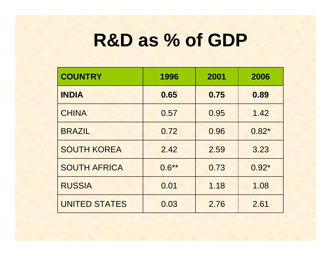### **R&D as % of GDP**

| <b>COUNTRY</b>       | 1996     | 2001 | 2006    |
|----------------------|----------|------|---------|
| <b>INDIA</b>         | 0.65     | 0.75 | 0.89    |
| <b>CHINA</b>         | 0.57     | 0.95 | 1.42    |
| <b>BRAZIL</b>        | 0.72     | 0.96 | $0.82*$ |
| <b>SOUTH KOREA</b>   | 2.42     | 2.59 | 3.23    |
| <b>SOUTH AFRICA</b>  | $0.6***$ | 0.73 | $0.92*$ |
| <b>RUSSIA</b>        | 0.01     | 1.18 | 1.08    |
| <b>UNITED STATES</b> | 0.03     | 2.76 | 2.61    |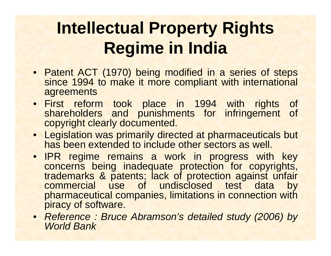### **Intellectual Property Rights Regime in India**

- Patent ACT (1970) being modified in a series of steps since 1994 to make it more compliant with international agreements
- First reform took place in 1994 with rights of shareholders and punishments for infringement of copyright clearly documented.
- Legislation was primarily directed at pharmaceuticals but has been extended to include other sectors as well.
- IPR regime remains a work in progress with key concerns being inadequate protection for copyrights, trademarks & patents; lack of protection against unfair commercial use of undisclosed test data by pharmaceutical companies, limitations in connection with piracy of software.
- *Reference : Bruce Abramson's detailed study (2006) by World Bank*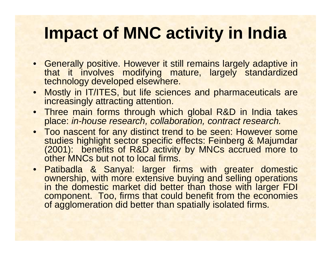#### **Impact of MNC activity in India**

- Generally positive. However it still remains largely adaptive in that it involves modifying mature, largely standardized technology developed elsewhere.
- Mostly in IT/ITES, but life sciences and pharmaceuticals are increasingly attracting attention.
- Three main forms through which global R&D in India takes place: *in-house research, collaboration, contract research.*
- Too nascent for any distinct trend to be seen: However some studies highlight sector specific effects: Feinberg & Majumdar (2001): benefits of R&D activity by MNCs accrued more to other MNCs but not to local firms.
- Patibadla & Sanyal: larger firms with greater domestic ownership, with more extensive buying and selling operations in the domestic market did better than those with larger FDI component. Too, firms that could benefit from the economies of agglomeration did better than spatially isolated firms.